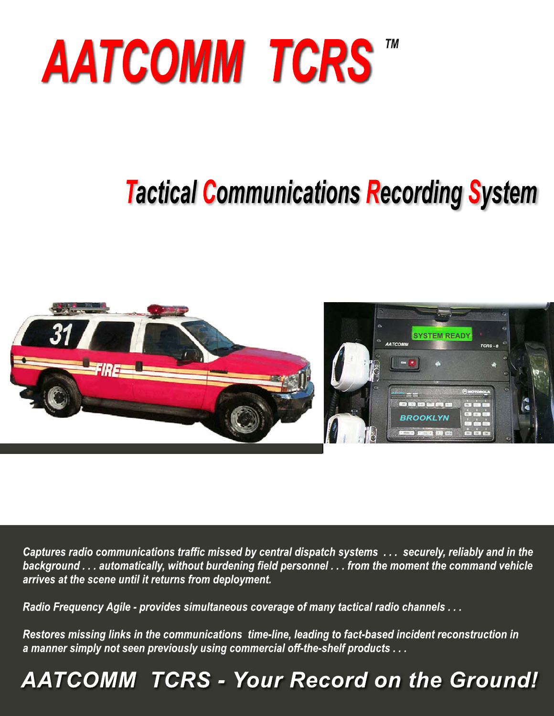

# **Tactical Communications Recording System**



Captures radio communications traffic missed by central dispatch systems ... securely, reliably and in the background . . . automatically, without burdening field personnel . . . from the moment the command vehicle arrives at the scene until it returns from deployment.

Radio Frequency Agile - provides simultaneous coverage of many tactical radio channels ...

Restores missing links in the communications time-line, leading to fact-based incident reconstruction in a manner simply not seen previously using commercial off-the-shelf products . . .

## **AATCOMM TCRS - Your Record on the Ground!**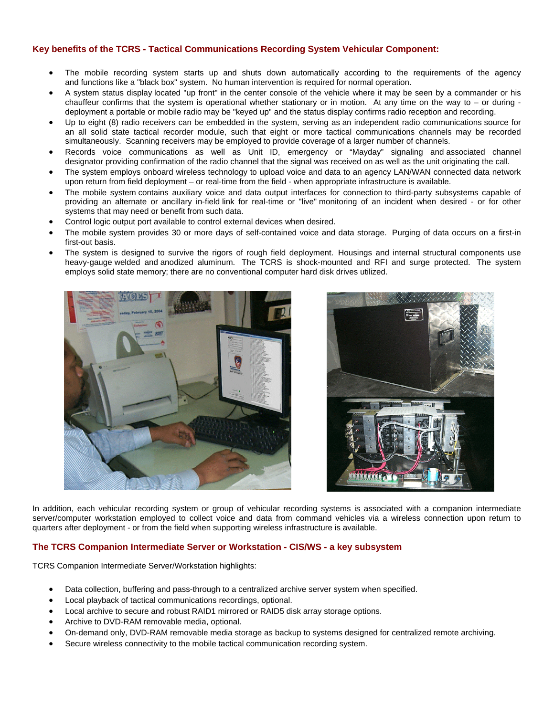#### **Key benefits of the TCRS - Tactical Communications Recording System Vehicular Component:**

- The mobile recording system starts up and shuts down automatically according to the requirements of the agency and functions like a "black box" system. No human intervention is required for normal operation.
- A system status display located "up front" in the center console of the vehicle where it may be seen by a commander or his chauffeur confirms that the system is operational whether stationary or in motion. At any time on the way to  $-$  or during deployment a portable or mobile radio may be "keyed up" and the status display confirms radio reception and recording.
- Up to eight (8) radio receivers can be embedded in the system, serving as an independent radio communications source for an all solid state tactical recorder module, such that eight or more tactical communications channels may be recorded simultaneously. Scanning receivers may be employed to provide coverage of a larger number of channels.
- Records voice communications as well as Unit ID, emergency or "Mayday" signaling and associated channel designator providing confirmation of the radio channel that the signal was received on as well as the unit originating the call.
- The system employs onboard wireless technology to upload voice and data to an agency LAN/WAN connected data network upon return from field deployment – or real-time from the field - when appropriate infrastructure is available.
- The mobile system contains auxiliary voice and data output interfaces for connection to third-party subsystems capable of providing an alternate or ancillary in-field link for real-time or "live" monitoring of an incident when desired - or for other systems that may need or benefit from such data.
- Control logic output port available to control external devices when desired.
- The mobile system provides 30 or more days of self-contained voice and data storage. Purging of data occurs on a first-in first-out basis.
- The system is designed to survive the rigors of rough field deployment. Housings and internal structural components use heavy-gauge welded and anodized aluminum. The TCRS is shock-mounted and RFI and surge protected. The system employs solid state memory; there are no conventional computer hard disk drives utilized.





In addition, each vehicular recording system or group of vehicular recording systems is associated with a companion intermediate server/computer workstation employed to collect voice and data from command vehicles via a wireless connection upon return to quarters after deployment - or from the field when supporting wireless infrastructure is available.

#### **The TCRS Companion Intermediate Server or Workstation - CIS/WS - a key subsystem**

TCRS Companion Intermediate Server/Workstation highlights:

- Data collection, buffering and pass-through to a centralized archive server system when specified.
- Local playback of tactical communications recordings, optional.
- Local archive to secure and robust RAID1 mirrored or RAID5 disk array storage options.
- Archive to DVD-RAM removable media, optional.
- On-demand only, DVD-RAM removable media storage as backup to systems designed for centralized remote archiving.
- Secure wireless connectivity to the mobile tactical communication recording system.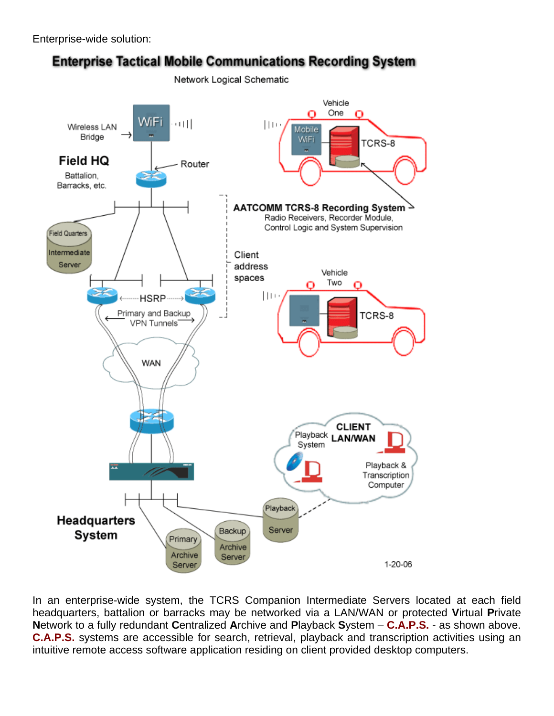Enterprise-wide solution:



In an enterprise-wide system, the TCRS Companion Intermediate Servers located at each field headquarters, battalion or barracks may be networked via a LAN/WAN or protected **V**irtual **P**rivate **N**etwork to a fully redundant **C**entralized **A**rchive and **P**layback **S**ystem – **C.A.P.S.** - as shown above. **C.A.P.S.** systems are accessible for search, retrieval, playback and transcription activities using an intuitive remote access software application residing on client provided desktop computers.